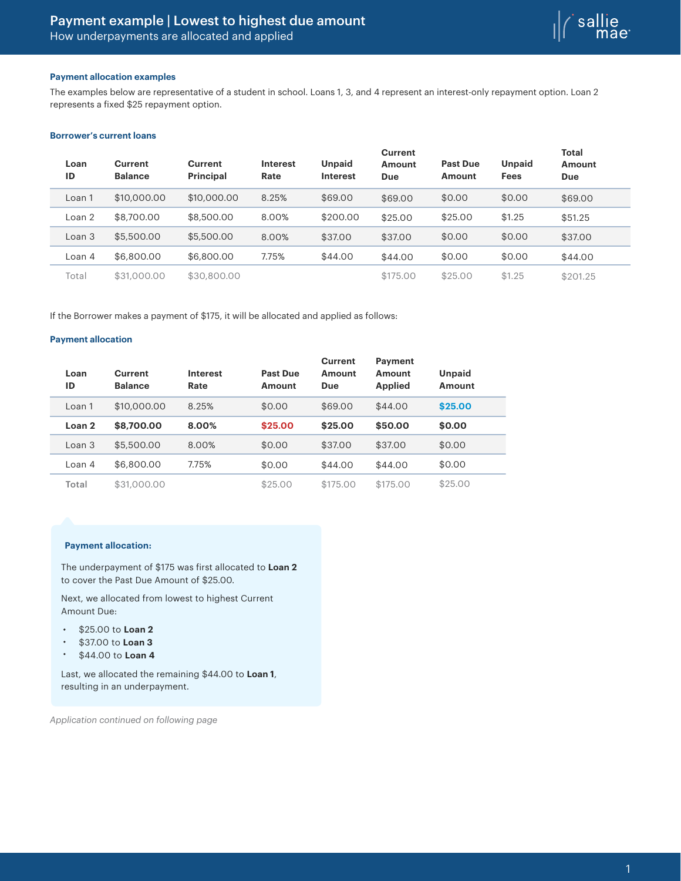

## **Payment allocation examples**

The examples below are representative of a student in school. Loans 1, 3, and 4 represent an interest-only repayment option. Loan 2 represents a fixed \$25 repayment option.

# **Borrower's current loans**

| Loan<br>ID | <b>Current</b><br><b>Balance</b> | Current<br>Principal | <b>Interest</b><br>Rate | <b>Unpaid</b><br><b>Interest</b> | Current<br>Amount<br>Due | <b>Past Due</b><br><b>Amount</b> | <b>Unpaid</b><br><b>Fees</b> | <b>Total</b><br>Amount<br><b>Due</b> |
|------------|----------------------------------|----------------------|-------------------------|----------------------------------|--------------------------|----------------------------------|------------------------------|--------------------------------------|
| Loan 1     | \$10,000.00                      | \$10,000,00          | 8.25%                   | \$69.00                          | \$69.00                  | \$0.00                           | \$0.00                       | \$69.00                              |
| Loan 2     | \$8,700.00                       | \$8,500.00           | 8.00%                   | \$200.00                         | \$25.00                  | \$25.00                          | \$1.25                       | \$51.25                              |
| Loan 3     | \$5,500.00                       | \$5,500.00           | 8.00%                   | \$37.00                          | \$37.00                  | \$0.00                           | \$0.00                       | \$37.00                              |
| Loan 4     | \$6,800.00                       | \$6,800,00           | 7.75%                   | \$44.00                          | \$44.00                  | \$0.00                           | \$0.00                       | \$44.00                              |
| Total      | \$31,000,00                      | \$30,800,00          |                         |                                  | \$175.00                 | \$25.00                          | \$1.25                       | \$201.25                             |

If the Borrower makes a payment of \$175, it will be allocated and applied as follows:

#### **Payment allocation**

| Loan<br>ID        | Current<br><b>Balance</b> | <b>Interest</b><br>Rate | Past Due<br>Amount | <b>Current</b><br>Amount<br>Due | Payment<br>Amount<br><b>Applied</b> | Unpaid<br>Amount |  |
|-------------------|---------------------------|-------------------------|--------------------|---------------------------------|-------------------------------------|------------------|--|
| Loan 1            | \$10,000,00               | 8.25%                   | \$0.00             | \$69.00                         | \$44.00                             | \$25.00          |  |
| Loan <sub>2</sub> | \$8,700.00                | 8.00%                   | \$25.00            | \$25.00                         | \$50.00                             | \$0.00           |  |
| Loan 3            | \$5,500.00                | 8.00%                   | \$0.00             | \$37.00                         | \$37.00                             | \$0.00           |  |
| Loan 4            | \$6,800,00                | 7.75%                   | \$0.00             | \$44.00                         | \$44.00                             | \$0.00           |  |
| Total             | \$31,000,00               |                         | \$25.00            | \$175.00                        | \$175.00                            | \$25.00          |  |

### **Payment allocation:**

The underpayment of \$175 was first allocated to **Loan 2** to cover the Past Due Amount of \$25.00.

Next, we allocated from lowest to highest Current Amount Due:

- \$25.00 to **Loan 2**  $\bullet$  .
- $\bullet$ \$37.00 to **Loan 3**
- $\bullet$ \$44.00 to **Loan 4**

Last, we allocated the remaining \$44.00 to **Loan 1**, resulting in an underpayment.

*Application continued on following page*